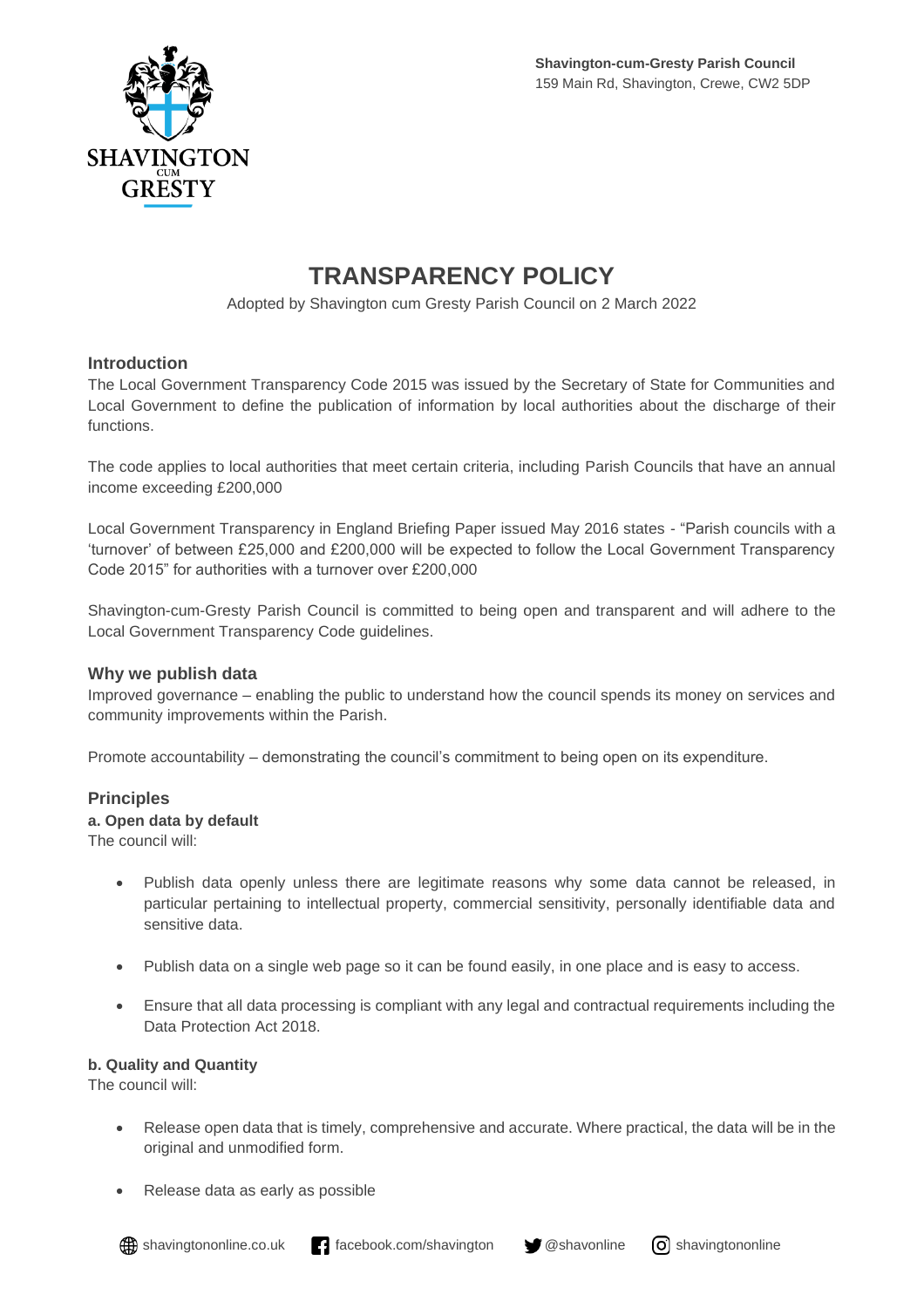

# **TRANSPARENCY POLICY**

Adopted by Shavington cum Gresty Parish Council on 2 March 2022

## **Introduction**

The Local Government Transparency Code 2015 was issued by the Secretary of State for Communities and Local Government to define the publication of information by local authorities about the discharge of their functions.

The code applies to local authorities that meet certain criteria, including Parish Councils that have an annual income exceeding £200,000

Local Government Transparency in England Briefing Paper issued May 2016 states - "Parish councils with a 'turnover' of between £25,000 and £200,000 will be expected to follow the Local Government Transparency Code 2015" for authorities with a turnover over £200,000

Shavington-cum-Gresty Parish Council is committed to being open and transparent and will adhere to the Local Government Transparency Code guidelines.

## **Why we publish data**

Improved governance – enabling the public to understand how the council spends its money on services and community improvements within the Parish.

Promote accountability – demonstrating the council's commitment to being open on its expenditure.

#### **Principles**

#### **a. Open data by default**

The council will:

- Publish data openly unless there are legitimate reasons why some data cannot be released, in particular pertaining to intellectual property, commercial sensitivity, personally identifiable data and sensitive data.
- Publish data on a single web page so it can be found easily, in one place and is easy to access.
- Ensure that all data processing is compliant with any legal and contractual requirements including the Data Protection Act 2018.

#### **b. Quality and Quantity**

The council will:

- Release open data that is timely, comprehensive and accurate. Where practical, the data will be in the original and unmodified form.
- Release data as early as possible